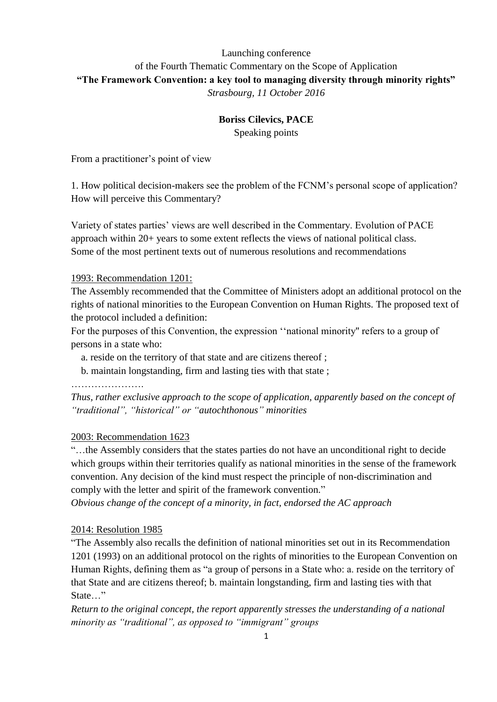# Launching conference of the Fourth Thematic Commentary on the Scope of Application **"The Framework Convention: a key tool to managing diversity through minority rights"** *Strasbourg, 11 October 2016*

### **Boriss Cilevics, PACE**

Speaking points

From a practitioner's point of view

1. How political decision-makers see the problem of the FCNM's personal scope of application? How will perceive this Commentary?

Variety of states parties' views are well described in the Commentary. Evolution of PACE approach within 20+ years to some extent reflects the views of national political class. Some of the most pertinent texts out of numerous resolutions and recommendations

#### 1993: Recommendation 1201:

The Assembly recommended that the Committee of Ministers adopt an additional protocol on the rights of national minorities to the European Convention on Human Rights. The proposed text of the protocol included a definition:

For the purposes of this Convention, the expression ''national minority'' refers to a group of persons in a state who:

a. reside on the territory of that state and are citizens thereof ;

b. maintain longstanding, firm and lasting ties with that state ;

………………………

*Thus, rather exclusive approach to the scope of application, apparently based on the concept of "traditional", "historical" or "autochthonous" minorities*

## 2003: Recommendation 1623

"…the Assembly considers that the states parties do not have an unconditional right to decide which groups within their territories qualify as national minorities in the sense of the framework convention. Any decision of the kind must respect the principle of non-discrimination and comply with the letter and spirit of the framework convention."

*Obvious change of the concept of a minority, in fact, endorsed the AC approach* 

#### 2014: Resolution 1985

"The Assembly also recalls the definition of national minorities set out in its Recommendation 1201 (1993) on an additional protocol on the rights of minorities to the European Convention on Human Rights, defining them as "a group of persons in a State who: a. reside on the territory of that State and are citizens thereof; b. maintain longstanding, firm and lasting ties with that State<sub>…</sub>"

*Return to the original concept, the report apparently stresses the understanding of a national minority as "traditional", as opposed to "immigrant" groups*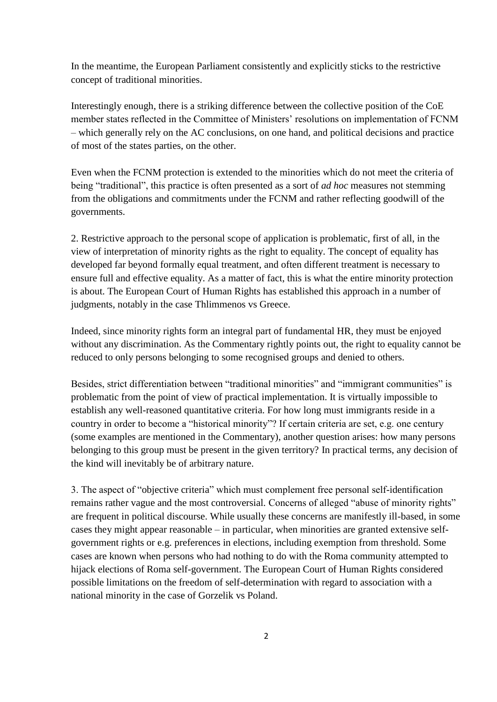In the meantime, the European Parliament consistently and explicitly sticks to the restrictive concept of traditional minorities.

Interestingly enough, there is a striking difference between the collective position of the CoE member states reflected in the Committee of Ministers' resolutions on implementation of FCNM – which generally rely on the AC conclusions, on one hand, and political decisions and practice of most of the states parties, on the other.

Even when the FCNM protection is extended to the minorities which do not meet the criteria of being "traditional", this practice is often presented as a sort of *ad hoc* measures not stemming from the obligations and commitments under the FCNM and rather reflecting goodwill of the governments.

2. Restrictive approach to the personal scope of application is problematic, first of all, in the view of interpretation of minority rights as the right to equality. The concept of equality has developed far beyond formally equal treatment, and often different treatment is necessary to ensure full and effective equality. As a matter of fact, this is what the entire minority protection is about. The European Court of Human Rights has established this approach in a number of judgments, notably in the case Thlimmenos vs Greece.

Indeed, since minority rights form an integral part of fundamental HR, they must be enjoyed without any discrimination. As the Commentary rightly points out, the right to equality cannot be reduced to only persons belonging to some recognised groups and denied to others.

Besides, strict differentiation between "traditional minorities" and "immigrant communities" is problematic from the point of view of practical implementation. It is virtually impossible to establish any well-reasoned quantitative criteria. For how long must immigrants reside in a country in order to become a "historical minority"? If certain criteria are set, e.g. one century (some examples are mentioned in the Commentary), another question arises: how many persons belonging to this group must be present in the given territory? In practical terms, any decision of the kind will inevitably be of arbitrary nature.

3. The aspect of "objective criteria" which must complement free personal self-identification remains rather vague and the most controversial. Concerns of alleged "abuse of minority rights" are frequent in political discourse. While usually these concerns are manifestly ill-based, in some cases they might appear reasonable – in particular, when minorities are granted extensive selfgovernment rights or e.g. preferences in elections, including exemption from threshold. Some cases are known when persons who had nothing to do with the Roma community attempted to hijack elections of Roma self-government. The European Court of Human Rights considered possible limitations on the freedom of self-determination with regard to association with a national minority in the case of Gorzelik vs Poland.